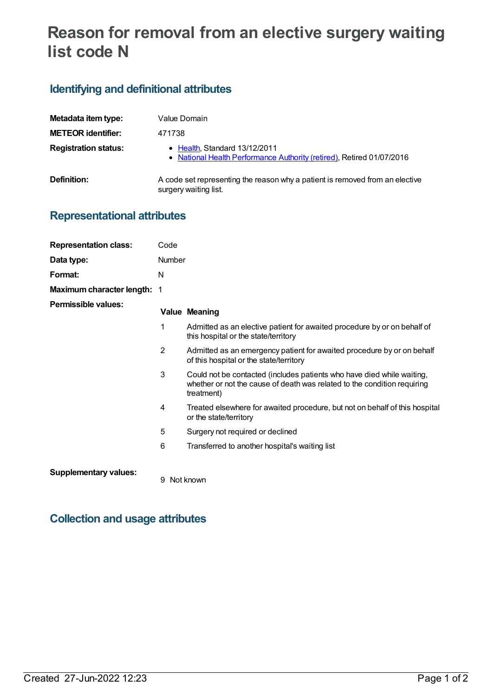# **Reason for removal from an elective surgery waiting list code N**

# **Identifying and definitional attributes**

| Metadata item type:         | Value Domain                                                                                           |
|-----------------------------|--------------------------------------------------------------------------------------------------------|
| <b>METEOR identifier:</b>   | 471738                                                                                                 |
| <b>Registration status:</b> | • Health, Standard 13/12/2011<br>• National Health Performance Authority (retired), Retired 01/07/2016 |
| Definition:                 | A code set representing the reason why a patient is removed from an elective<br>surgery waiting list.  |

# **Representational attributes**

| <b>Representation class:</b> | Code          |                                                                                                                                                                  |  |
|------------------------------|---------------|------------------------------------------------------------------------------------------------------------------------------------------------------------------|--|
| Data type:                   | <b>Number</b> |                                                                                                                                                                  |  |
| Format:                      | N             |                                                                                                                                                                  |  |
| Maximum character length:    | -1            |                                                                                                                                                                  |  |
| <b>Permissible values:</b>   |               | <b>Value Meaning</b>                                                                                                                                             |  |
|                              | 1             | Admitted as an elective patient for awaited procedure by or on behalf of<br>this hospital or the state/territory                                                 |  |
|                              | 2             | Admitted as an emergency patient for awaited procedure by or on behalf<br>of this hospital or the state/territory                                                |  |
|                              | 3             | Could not be contacted (includes patients who have died while waiting,<br>whether or not the cause of death was related to the condition requiring<br>treatment) |  |
|                              | 4             | Treated elsewhere for awaited procedure, but not on behalf of this hospital<br>or the state/territory                                                            |  |
|                              | 5             | Surgery not required or declined                                                                                                                                 |  |
|                              | 6             | Transferred to another hospital's waiting list                                                                                                                   |  |
|                              |               |                                                                                                                                                                  |  |

#### **Supplementary values:**

9 Not known

# **Collection and usage attributes**